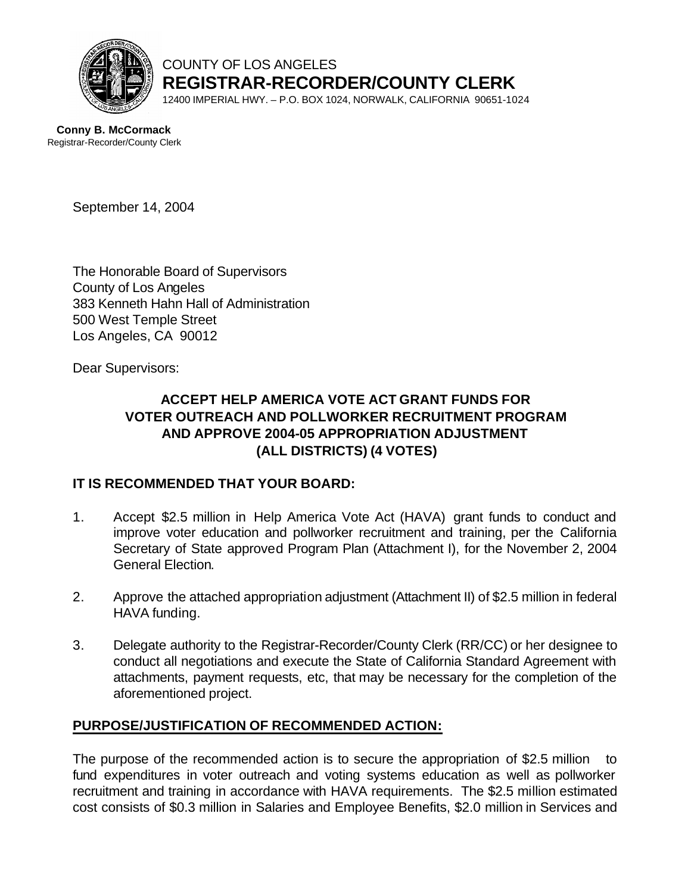

COUNTY OF LOS ANGELES **REGISTRAR-RECORDER/COUNTY CLERK**

12400 IMPERIAL HWY. – P.O. BOX 1024, NORWALK, CALIFORNIA 90651-1024

**Conny B. McCormack** Registrar-Recorder/County Clerk

September 14, 2004

The Honorable Board of Supervisors County of Los Angeles 383 Kenneth Hahn Hall of Administration 500 West Temple Street Los Angeles, CA 90012

Dear Supervisors:

#### **ACCEPT HELP AMERICA VOTE ACT GRANT FUNDS FOR VOTER OUTREACH AND POLLWORKER RECRUITMENT PROGRAM AND APPROVE 2004-05 APPROPRIATION ADJUSTMENT (ALL DISTRICTS) (4 VOTES)**

#### **IT IS RECOMMENDED THAT YOUR BOARD:**

- 1. Accept \$2.5 million in Help America Vote Act (HAVA) grant funds to conduct and improve voter education and pollworker recruitment and training, per the California Secretary of State approved Program Plan (Attachment I), for the November 2, 2004 General Election.
- 2. Approve the attached appropriation adjustment (Attachment II) of \$2.5 million in federal HAVA funding.
- 3. Delegate authority to the Registrar-Recorder/County Clerk (RR/CC) or her designee to conduct all negotiations and execute the State of California Standard Agreement with attachments, payment requests, etc, that may be necessary for the completion of the aforementioned project.

#### **PURPOSE/JUSTIFICATION OF RECOMMENDED ACTION:**

The purpose of the recommended action is to secure the appropriation of \$2.5 million to fund expenditures in voter outreach and voting systems education as well as pollworker recruitment and training in accordance with HAVA requirements. The \$2.5 million estimated cost consists of \$0.3 million in Salaries and Employee Benefits, \$2.0 million in Services and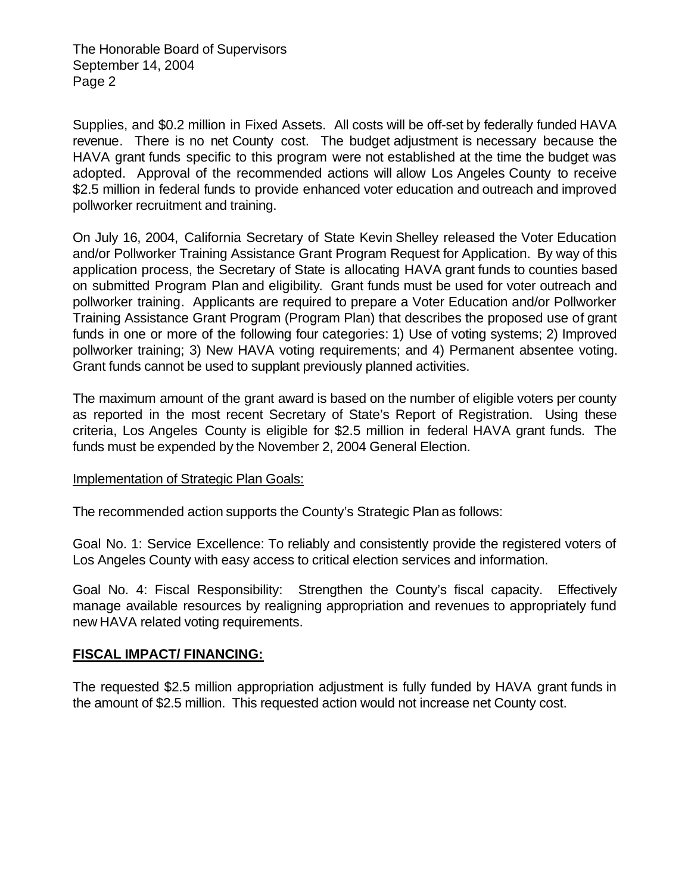The Honorable Board of Supervisors September 14, 2004 Page 2

Supplies, and \$0.2 million in Fixed Assets. All costs will be off-set by federally funded HAVA revenue. There is no net County cost. The budget adjustment is necessary because the HAVA grant funds specific to this program were not established at the time the budget was adopted. Approval of the recommended actions will allow Los Angeles County to receive \$2.5 million in federal funds to provide enhanced voter education and outreach and improved pollworker recruitment and training.

On July 16, 2004, California Secretary of State Kevin Shelley released the Voter Education and/or Pollworker Training Assistance Grant Program Request for Application. By way of this application process, the Secretary of State is allocating HAVA grant funds to counties based on submitted Program Plan and eligibility. Grant funds must be used for voter outreach and pollworker training. Applicants are required to prepare a Voter Education and/or Pollworker Training Assistance Grant Program (Program Plan) that describes the proposed use of grant funds in one or more of the following four categories: 1) Use of voting systems; 2) Improved pollworker training; 3) New HAVA voting requirements; and 4) Permanent absentee voting. Grant funds cannot be used to supplant previously planned activities.

The maximum amount of the grant award is based on the number of eligible voters per county as reported in the most recent Secretary of State's Report of Registration. Using these criteria, Los Angeles County is eligible for \$2.5 million in federal HAVA grant funds. The funds must be expended by the November 2, 2004 General Election.

#### Implementation of Strategic Plan Goals:

The recommended action supports the County's Strategic Plan as follows:

Goal No. 1: Service Excellence: To reliably and consistently provide the registered voters of Los Angeles County with easy access to critical election services and information.

Goal No. 4: Fiscal Responsibility: Strengthen the County's fiscal capacity. Effectively manage available resources by realigning appropriation and revenues to appropriately fund new HAVA related voting requirements.

#### **FISCAL IMPACT/ FINANCING:**

The requested \$2.5 million appropriation adjustment is fully funded by HAVA grant funds in the amount of \$2.5 million. This requested action would not increase net County cost.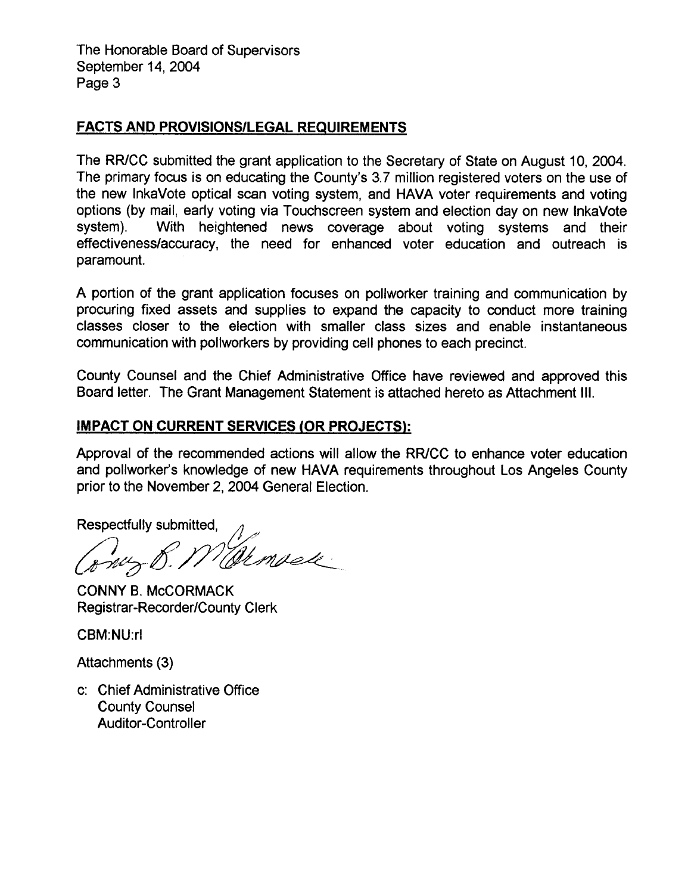The Honorable Board of Supervisors September 14, 2004 Page 3

#### **FACTS AND PROVISIONS/LEGAL REQUIREMENTS**

The RR/CC submitted the grant application to the Secretary of State on August 10, 2004. The primary focus is on educating the County's 3.7 million registered voters on the use of the new InkaVote optical scan voting system, and HAVA voter requirements and voting options (by mail, early voting via Touchscreen system and election day on new InkaVote With heightened news coverage about voting systems and their system). effectiveness/accuracy, the need for enhanced voter education and outreach is paramount.

A portion of the grant application focuses on pollworker training and communication by procuring fixed assets and supplies to expand the capacity to conduct more training classes closer to the election with smaller class sizes and enable instantaneous communication with pollworkers by providing cell phones to each precinct.

County Counsel and the Chief Administrative Office have reviewed and approved this Board letter. The Grant Management Statement is attached hereto as Attachment III.

#### **IMPACT ON CURRENT SERVICES (OR PROJECTS):**

Approval of the recommended actions will allow the RR/CC to enhance voter education and pollworker's knowledge of new HAVA requirements throughout Los Angeles County prior to the November 2, 2004 General Election.

Respectfully submitted,

Memsele

**CONNY B. McCORMACK Registrar-Recorder/County Clerk** 

**CBM:NU:rl** 

Attachments (3)

c: Chief Administrative Office **County Counsel Auditor-Controller**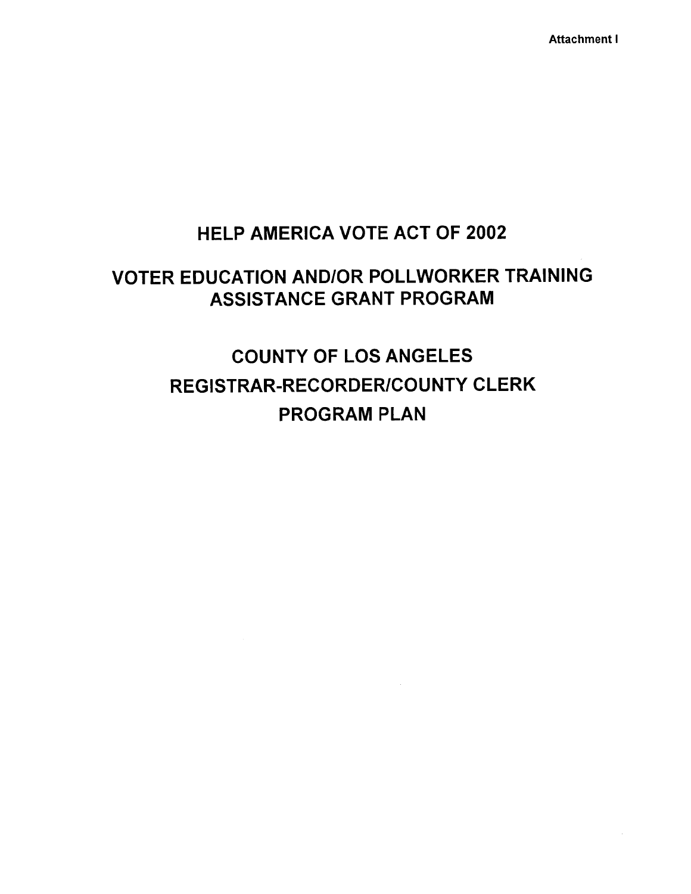**Attachment I** 

### **HELP AMERICA VOTE ACT OF 2002**

# **VOTER EDUCATION AND/OR POLLWORKER TRAINING ASSISTANCE GRANT PROGRAM**

# **COUNTY OF LOS ANGELES REGISTRAR-RECORDER/COUNTY CLERK PROGRAM PLAN**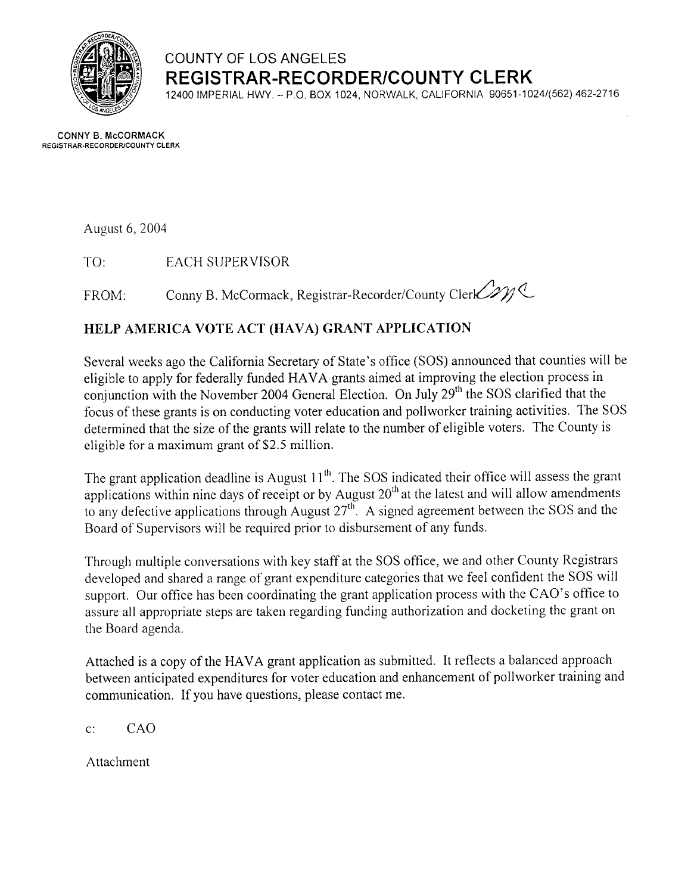

### **COUNTY OF LOS ANGELES REGISTRAR-RECORDER/COUNTY CLERK**

12400 IMPERIAL HWY. - P.O. BOX 1024, NORWALK, CALIFORNIA 90651-1024/(562) 462-2716

**CONNY B. McCORMACK** REGISTRAR-RECORDER/COUNTY CLERK

August 6, 2004

**EACH SUPERVISOR** TO:

Conny B. McCormack, Registrar-Recorder/County Clerk 201 FROM:

#### HELP AMERICA VOTE ACT (HAVA) GRANT APPLICATION

Several weeks ago the California Secretary of State's office (SOS) announced that counties will be eligible to apply for federally funded HAVA grants aimed at improving the election process in conjunction with the November 2004 General Election. On July 29<sup>th</sup> the SOS clarified that the focus of these grants is on conducting voter education and pollworker training activities. The SOS determined that the size of the grants will relate to the number of eligible voters. The County is eligible for a maximum grant of \$2.5 million.

The grant application deadline is August  $11<sup>th</sup>$ . The SOS indicated their office will assess the grant applications within nine days of receipt or by August  $20<sup>th</sup>$  at the latest and will allow amendments to any defective applications through August  $27<sup>th</sup>$ . A signed agreement between the SOS and the Board of Supervisors will be required prior to disbursement of any funds.

Through multiple conversations with key staff at the SOS office, we and other County Registrars developed and shared a range of grant expenditure categories that we feel confident the SOS will support. Our office has been coordinating the grant application process with the CAO's office to assure all appropriate steps are taken regarding funding authorization and docketing the grant on the Board agenda.

Attached is a copy of the HAVA grant application as submitted. It reflects a balanced approach between anticipated expenditures for voter education and enhancement of pollworker training and communication. If you have questions, please contact me.

CAO  $\mathbf{c}$ :

Attachment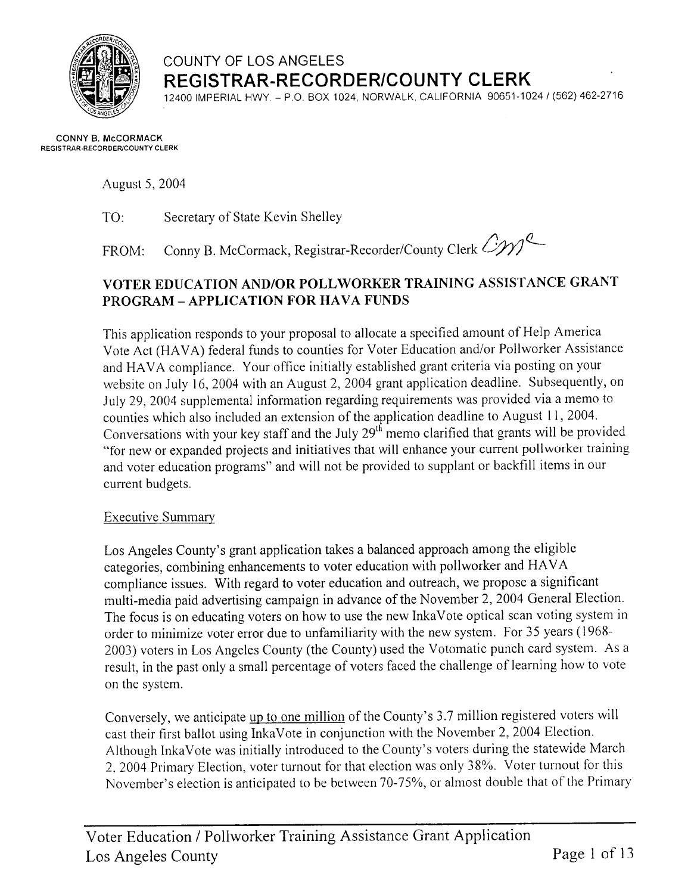

### COUNTY OF LOS ANGELES REGISTRAR-RECORDER/COUNTY CLERK

12400 IMPERIAL HWY, - P.O. BOX 1024, NORWALK, CALIFORNIA 90651-1024 / (562) 462-2716

#### **CONNY B. McCORMACK REGISTRAR-RECORDER/COUNTY CLERK**

August 5, 2004

TO: Secretary of State Kevin Shelley

Conny B. McCormack, Registrar-Recorder/County Clerk CIVI FROM:

### VOTER EDUCATION AND/OR POLLWORKER TRAINING ASSISTANCE GRANT **PROGRAM - APPLICATION FOR HAVA FUNDS**

This application responds to your proposal to allocate a specified amount of Help America Vote Act (HAVA) federal funds to counties for Voter Education and/or Pollworker Assistance and HAVA compliance. Your office initially established grant criteria via posting on your website on July 16, 2004 with an August 2, 2004 grant application deadline. Subsequently, on July 29, 2004 supplemental information regarding requirements was provided via a memo to counties which also included an extension of the application deadline to August 11, 2004. Conversations with your key staff and the July 29<sup>th</sup> memo clarified that grants will be provided "for new or expanded projects and initiatives that will enhance your current pollworker training and voter education programs" and will not be provided to supplant or backfill items in our current budgets.

#### **Executive Summary**

Los Angeles County's grant application takes a balanced approach among the eligible categories, combining enhancements to voter education with pollworker and HAVA compliance issues. With regard to voter education and outreach, we propose a significant multi-media paid advertising campaign in advance of the November 2, 2004 General Election. The focus is on educating voters on how to use the new InkaVote optical scan voting system in order to minimize voter error due to unfamiliarity with the new system. For 35 years (1968-2003) voters in Los Angeles County (the County) used the Votomatic punch card system. As a result, in the past only a small percentage of voters faced the challenge of learning how to vote on the system.

Conversely, we anticipate up to one million of the County's 3.7 million registered voters will cast their first ballot using InkaVote in conjunction with the November 2, 2004 Election. Although InkaVote was initially introduced to the County's voters during the statewide March 2, 2004 Primary Election, voter turnout for that election was only 38%. Voter turnout for this November's election is anticipated to be between 70-75%, or almost double that of the Primary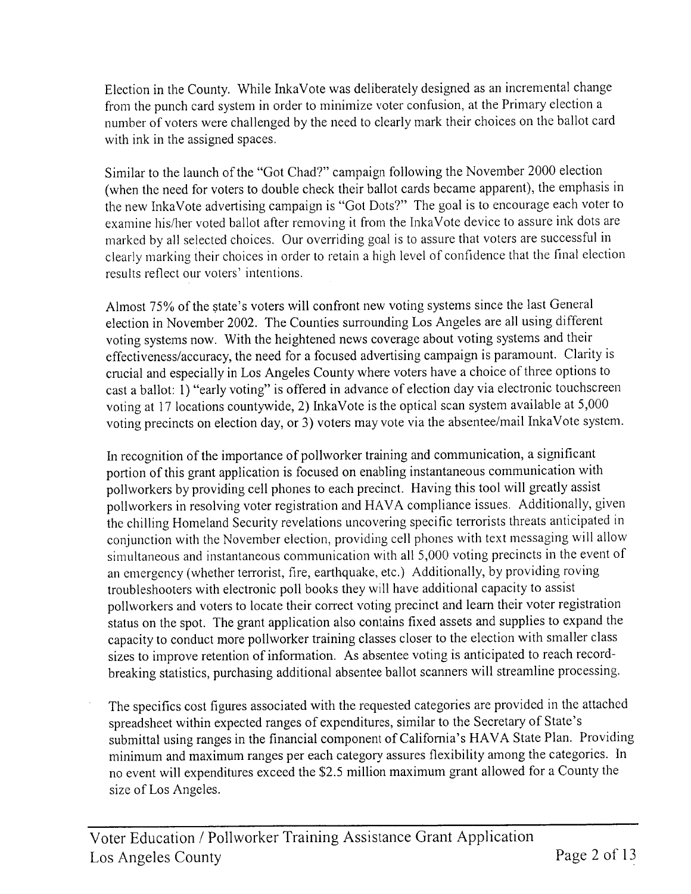Election in the County. While InkaVote was deliberately designed as an incremental change from the punch card system in order to minimize voter confusion, at the Primary election a number of voters were challenged by the need to clearly mark their choices on the ballot card with ink in the assigned spaces.

Similar to the launch of the "Got Chad?" campaign following the November 2000 election (when the need for voters to double check their ballot cards became apparent), the emphasis in the new InkaVote advertising campaign is "Got Dots?" The goal is to encourage each voter to examine his/her voted ballot after removing it from the InkaVote device to assure ink dots are marked by all selected choices. Our overriding goal is to assure that voters are successful in clearly marking their choices in order to retain a high level of confidence that the final election results reflect our voters' intentions.

Almost 75% of the state's voters will confront new voting systems since the last General election in November 2002. The Counties surrounding Los Angeles are all using different voting systems now. With the heightened news coverage about voting systems and their effectiveness/accuracy, the need for a focused advertising campaign is paramount. Clarity is crucial and especially in Los Angeles County where voters have a choice of three options to cast a ballot: 1) "early voting" is offered in advance of election day via electronic touchscreen voting at 17 locations countywide, 2) InkaVote is the optical scan system available at 5,000 voting precincts on election day, or 3) voters may vote via the absentee/mail InkaVote system.

In recognition of the importance of pollworker training and communication, a significant portion of this grant application is focused on enabling instantaneous communication with pollworkers by providing cell phones to each precinct. Having this tool will greatly assist pollworkers in resolving voter registration and HAVA compliance issues. Additionally, given the chilling Homeland Security revelations uncovering specific terrorists threats anticipated in conjunction with the November election, providing cell phones with text messaging will allow simultaneous and instantaneous communication with all 5,000 voting precincts in the event of an emergency (whether terrorist, fire, earthquake, etc.) Additionally, by providing roving troubleshooters with electronic poll books they will have additional capacity to assist pollworkers and voters to locate their correct voting precinct and learn their voter registration status on the spot. The grant application also contains fixed assets and supplies to expand the capacity to conduct more pollworker training classes closer to the election with smaller class sizes to improve retention of information. As absentee voting is anticipated to reach recordbreaking statistics, purchasing additional absentee ballot scanners will streamline processing.

The specifics cost figures associated with the requested categories are provided in the attached spreadsheet within expected ranges of expenditures, similar to the Secretary of State's submittal using ranges in the financial component of California's HAVA State Plan. Providing minimum and maximum ranges per each category assures flexibility among the categories. In no event will expenditures exceed the \$2.5 million maximum grant allowed for a County the size of Los Angeles.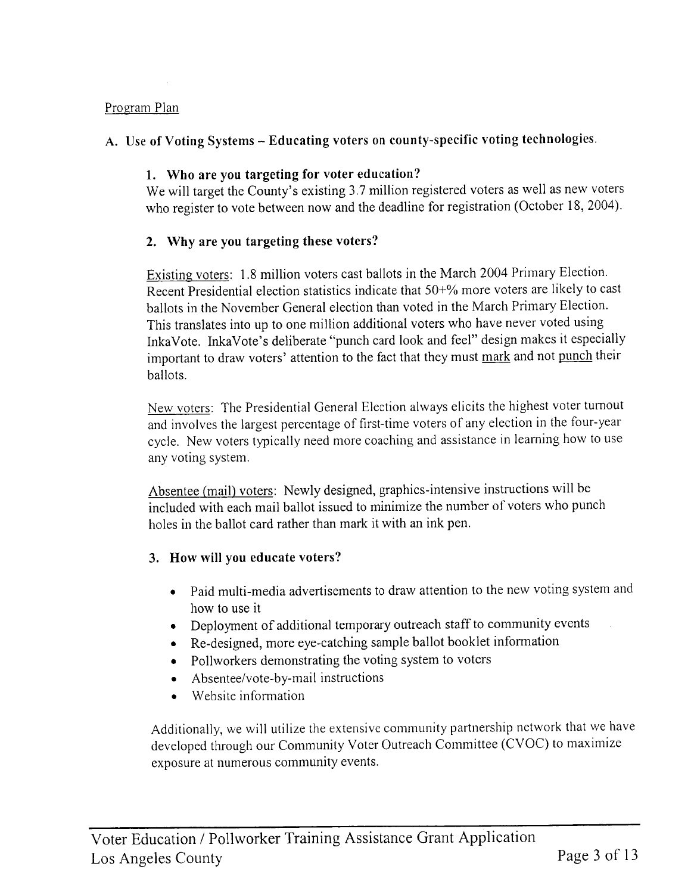#### Program Plan

#### A. Use of Voting Systems - Educating voters on county-specific voting technologies.

#### 1. Who are you targeting for voter education?

We will target the County's existing 3.7 million registered voters as well as new voters who register to vote between now and the deadline for registration (October 18, 2004).

#### 2. Why are you targeting these voters?

Existing voters: 1.8 million voters cast ballots in the March 2004 Primary Election. Recent Presidential election statistics indicate that 50+% more voters are likely to cast ballots in the November General election than voted in the March Primary Election. This translates into up to one million additional voters who have never voted using InkaVote. InkaVote's deliberate "punch card look and feel" design makes it especially important to draw voters' attention to the fact that they must mark and not punch their ballots.

New voters: The Presidential General Election always elicits the highest voter turnout and involves the largest percentage of first-time voters of any election in the four-year cycle. New voters typically need more coaching and assistance in learning how to use any voting system.

Absentee (mail) voters: Newly designed, graphics-intensive instructions will be included with each mail ballot issued to minimize the number of voters who punch holes in the ballot card rather than mark it with an ink pen.

#### 3. How will you educate voters?

- Paid multi-media advertisements to draw attention to the new voting system and how to use it
- Deployment of additional temporary outreach staff to community events
- Re-designed, more eye-catching sample ballot booklet information
- Pollworkers demonstrating the voting system to voters
- Absentee/vote-by-mail instructions
- Website information

Additionally, we will utilize the extensive community partnership network that we have developed through our Community Voter Outreach Committee (CVOC) to maximize exposure at numerous community events.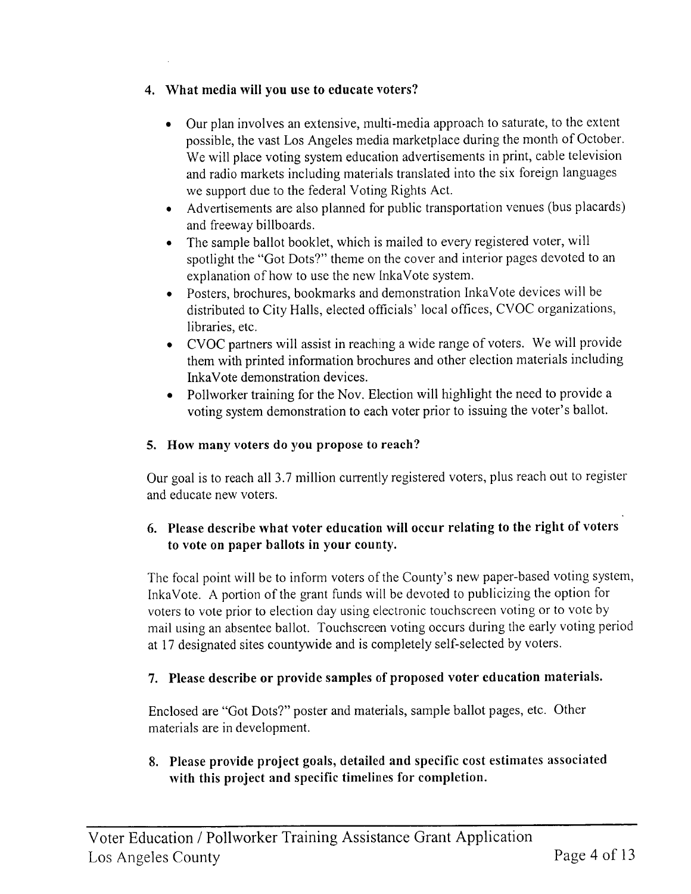#### 4. What media will you use to educate voters?

- Our plan involves an extensive, multi-media approach to saturate, to the extent possible, the vast Los Angeles media marketplace during the month of October. We will place voting system education advertisements in print, cable television and radio markets including materials translated into the six foreign languages we support due to the federal Voting Rights Act.
- Advertisements are also planned for public transportation venues (bus placards) and freeway billboards.
- The sample ballot booklet, which is mailed to every registered voter, will spotlight the "Got Dots?" theme on the cover and interior pages devoted to an explanation of how to use the new InkaVote system.
- Posters, brochures, bookmarks and demonstration InkaVote devices will be distributed to City Halls, elected officials' local offices, CVOC organizations, libraries, etc.
- CVOC partners will assist in reaching a wide range of voters. We will provide them with printed information brochures and other election materials including InkaVote demonstration devices.
- Pollworker training for the Nov. Election will highlight the need to provide a voting system demonstration to each voter prior to issuing the voter's ballot.

### 5. How many voters do you propose to reach?

Our goal is to reach all 3.7 million currently registered voters, plus reach out to register and educate new voters.

### 6. Please describe what voter education will occur relating to the right of voters to vote on paper ballots in your county.

The focal point will be to inform voters of the County's new paper-based voting system, InkaVote. A portion of the grant funds will be devoted to publicizing the option for voters to vote prior to election day using electronic touchscreen voting or to vote by mail using an absentee ballot. Touchscreen voting occurs during the early voting period at 17 designated sites countywide and is completely self-selected by voters.

#### 7. Please describe or provide samples of proposed voter education materials.

Enclosed are "Got Dots?" poster and materials, sample ballot pages, etc. Other materials are in development.

#### 8. Please provide project goals, detailed and specific cost estimates associated with this project and specific timelines for completion.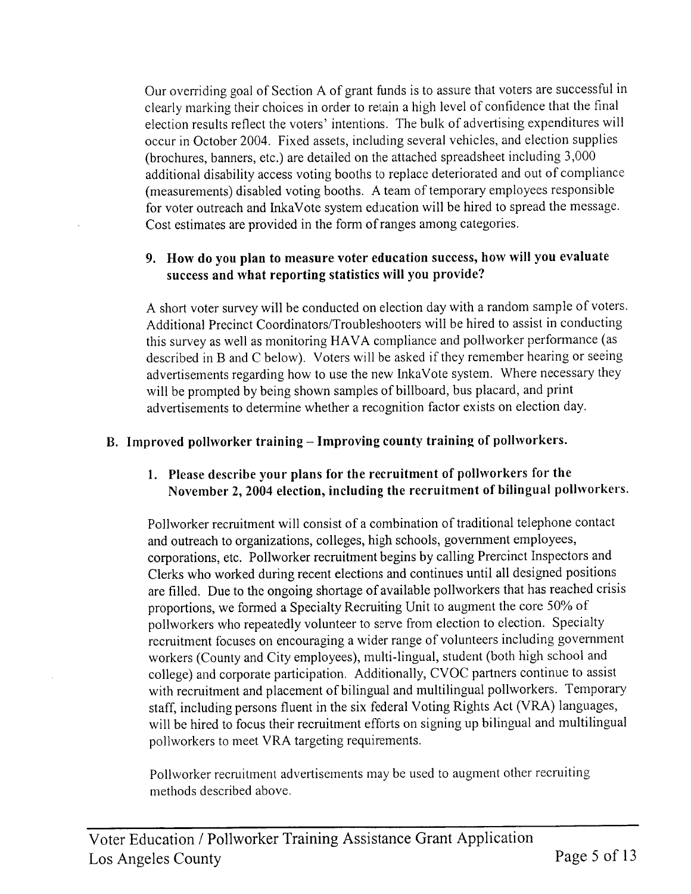Our overriding goal of Section A of grant funds is to assure that voters are successful in clearly marking their choices in order to retain a high level of confidence that the final election results reflect the voters' intentions. The bulk of advertising expenditures will occur in October 2004. Fixed assets, including several vehicles, and election supplies (brochures, banners, etc.) are detailed on the attached spreadsheet including 3,000 additional disability access voting booths to replace deteriorated and out of compliance (measurements) disabled voting booths. A team of temporary employees responsible for voter outreach and InkaVote system education will be hired to spread the message. Cost estimates are provided in the form of ranges among categories.

#### 9. How do you plan to measure voter education success, how will you evaluate success and what reporting statistics will you provide?

A short voter survey will be conducted on election day with a random sample of voters. Additional Precinct Coordinators/Troubleshooters will be hired to assist in conducting this survey as well as monitoring HAVA compliance and pollworker performance (as described in B and C below). Voters will be asked if they remember hearing or seeing advertisements regarding how to use the new InkaVote system. Where necessary they will be prompted by being shown samples of billboard, bus placard, and print advertisements to determine whether a recognition factor exists on election day.

#### B. Improved pollworker training - Improving county training of pollworkers.

#### 1. Please describe your plans for the recruitment of pollworkers for the November 2, 2004 election, including the recruitment of bilingual pollworkers.

Pollworker recruitment will consist of a combination of traditional telephone contact and outreach to organizations, colleges, high schools, government employees, corporations, etc. Pollworker recruitment begins by calling Prercinct Inspectors and Clerks who worked during recent elections and continues until all designed positions are filled. Due to the ongoing shortage of available pollworkers that has reached crisis proportions, we formed a Specialty Recruiting Unit to augment the core 50% of pollworkers who repeatedly volunteer to serve from election to election. Specialty recruitment focuses on encouraging a wider range of volunteers including government workers (County and City employees), multi-lingual, student (both high school and college) and corporate participation. Additionally, CVOC partners continue to assist with recruitment and placement of bilingual and multilingual pollworkers. Temporary staff, including persons fluent in the six federal Voting Rights Act (VRA) languages, will be hired to focus their recruitment efforts on signing up bilingual and multilingual pollworkers to meet VRA targeting requirements.

Pollworker recruitment advertisements may be used to augment other recruiting methods described above.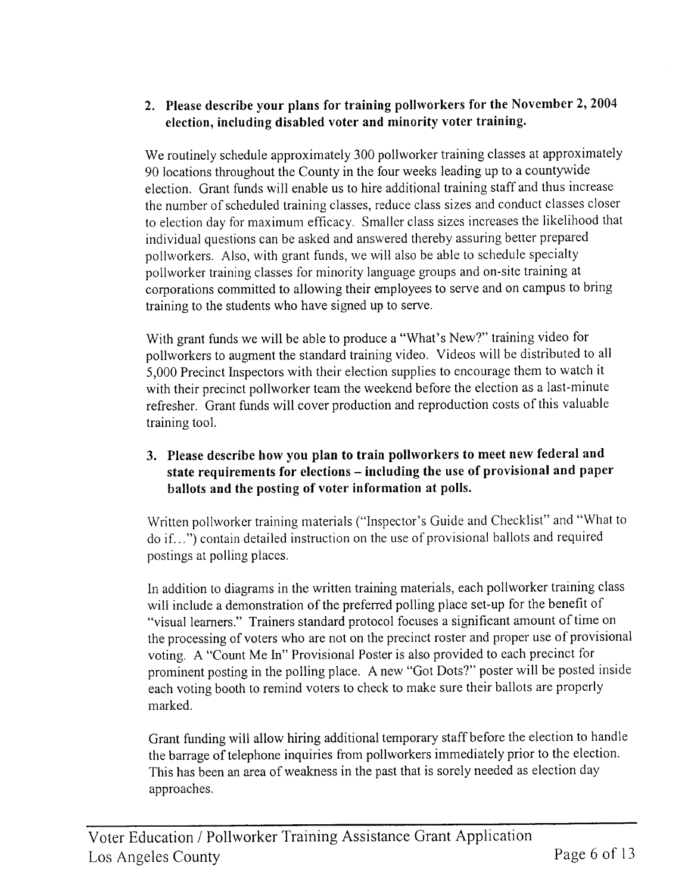#### 2. Please describe your plans for training pollworkers for the November 2, 2004 election, including disabled voter and minority voter training.

We routinely schedule approximately 300 pollworker training classes at approximately 90 locations throughout the County in the four weeks leading up to a countywide election. Grant funds will enable us to hire additional training staff and thus increase the number of scheduled training classes, reduce class sizes and conduct classes closer to election day for maximum efficacy. Smaller class sizes increases the likelihood that individual questions can be asked and answered thereby assuring better prepared pollworkers. Also, with grant funds, we will also be able to schedule specialty pollworker training classes for minority language groups and on-site training at corporations committed to allowing their employees to serve and on campus to bring training to the students who have signed up to serve.

With grant funds we will be able to produce a "What's New?" training video for pollworkers to augment the standard training video. Videos will be distributed to all 5,000 Precinct Inspectors with their election supplies to encourage them to watch it with their precinct pollworker team the weekend before the election as a last-minute refresher. Grant funds will cover production and reproduction costs of this valuable training tool.

#### 3. Please describe how you plan to train pollworkers to meet new federal and state requirements for elections - including the use of provisional and paper ballots and the posting of voter information at polls.

Written pollworker training materials ("Inspector's Guide and Checklist" and "What to do if...") contain detailed instruction on the use of provisional ballots and required postings at polling places.

In addition to diagrams in the written training materials, each pollworker training class will include a demonstration of the preferred polling place set-up for the benefit of "visual learners." Trainers standard protocol focuses a significant amount of time on the processing of voters who are not on the precinct roster and proper use of provisional voting. A "Count Me In" Provisional Poster is also provided to each precinct for prominent posting in the polling place. A new "Got Dots?" poster will be posted inside each voting booth to remind voters to check to make sure their ballots are properly marked.

Grant funding will allow hiring additional temporary staff before the election to handle the barrage of telephone inquiries from pollworkers immediately prior to the election. This has been an area of weakness in the past that is sorely needed as election day approaches.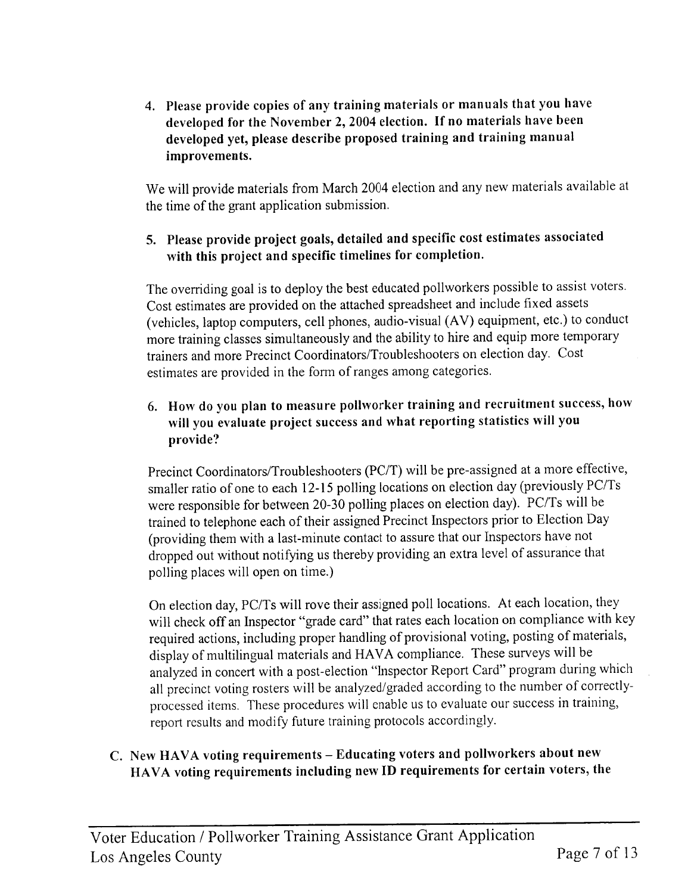4. Please provide copies of any training materials or manuals that you have developed for the November 2, 2004 election. If no materials have been developed yet, please describe proposed training and training manual improvements.

We will provide materials from March 2004 election and any new materials available at the time of the grant application submission.

#### 5. Please provide project goals, detailed and specific cost estimates associated with this project and specific timelines for completion.

The overriding goal is to deploy the best educated pollworkers possible to assist voters. Cost estimates are provided on the attached spreadsheet and include fixed assets (vehicles, laptop computers, cell phones, audio-visual (AV) equipment, etc.) to conduct more training classes simultaneously and the ability to hire and equip more temporary trainers and more Precinct Coordinators/Troubleshooters on election day. Cost estimates are provided in the form of ranges among categories.

6. How do you plan to measure pollworker training and recruitment success, how will you evaluate project success and what reporting statistics will you provide?

Precinct Coordinators/Troubleshooters (PC/T) will be pre-assigned at a more effective, smaller ratio of one to each 12-15 polling locations on election day (previously PC/Ts were responsible for between 20-30 polling places on election day). PC/Ts will be trained to telephone each of their assigned Precinct Inspectors prior to Election Day (providing them with a last-minute contact to assure that our Inspectors have not dropped out without notifying us thereby providing an extra level of assurance that polling places will open on time.)

On election day, PC/Ts will rove their assigned poll locations. At each location, they will check off an Inspector "grade card" that rates each location on compliance with key required actions, including proper handling of provisional voting, posting of materials, display of multilingual materials and HAVA compliance. These surveys will be analyzed in concert with a post-election "Inspector Report Card" program during which all precinct voting rosters will be analyzed/graded according to the number of correctlyprocessed items. These procedures will enable us to evaluate our success in training, report results and modify future training protocols accordingly.

#### C. New HAVA voting requirements - Educating voters and pollworkers about new HAVA voting requirements including new ID requirements for certain voters, the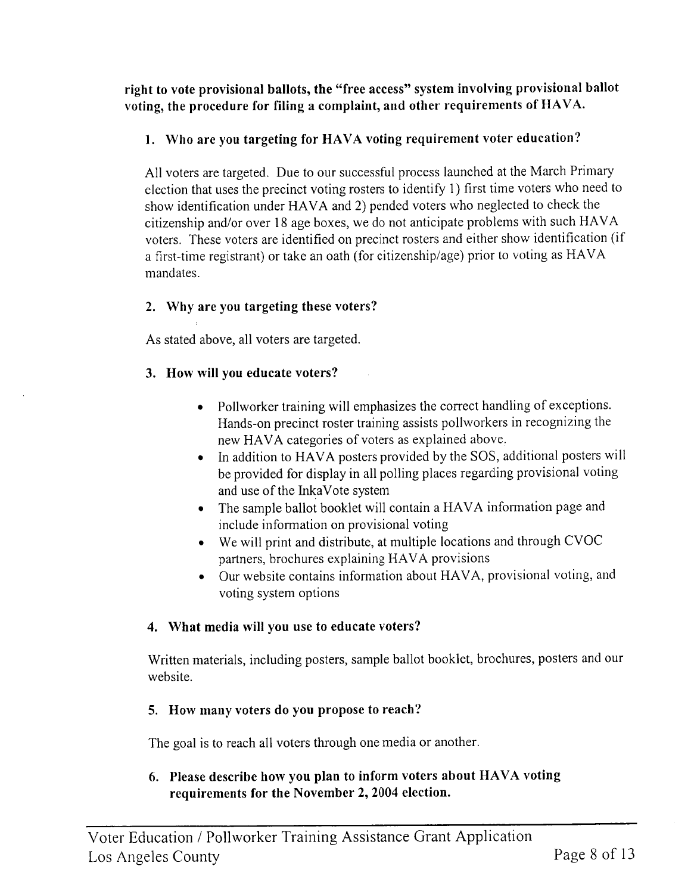right to vote provisional ballots, the "free access" system involving provisional ballot voting, the procedure for filing a complaint, and other requirements of HAVA.

#### 1. Who are you targeting for HAVA voting requirement voter education?

All voters are targeted. Due to our successful process launched at the March Primary election that uses the precinct voting rosters to identify 1) first time voters who need to show identification under HAVA and 2) pended voters who neglected to check the citizenship and/or over 18 age boxes, we do not anticipate problems with such HAVA voters. These voters are identified on precinct rosters and either show identification (if a first-time registrant) or take an oath (for citizenship/age) prior to voting as HAVA mandates.

#### 2. Why are you targeting these voters?

As stated above, all voters are targeted.

#### 3. How will you educate voters?

- Pollworker training will emphasizes the correct handling of exceptions. Hands-on precinct roster training assists pollworkers in recognizing the new HAVA categories of voters as explained above.
- In addition to HAVA posters provided by the SOS, additional posters will  $\bullet$ be provided for display in all polling places regarding provisional voting and use of the InkaVote system
- The sample ballot booklet will contain a HAVA information page and include information on provisional voting
- We will print and distribute, at multiple locations and through CVOC partners, brochures explaining HAVA provisions
- Our website contains information about HAVA, provisional voting, and voting system options

#### 4. What media will you use to educate voters?

Written materials, including posters, sample ballot booklet, brochures, posters and our website.

#### 5. How many voters do you propose to reach?

The goal is to reach all voters through one media or another.

#### 6. Please describe how you plan to inform voters about HAVA voting requirements for the November 2, 2004 election.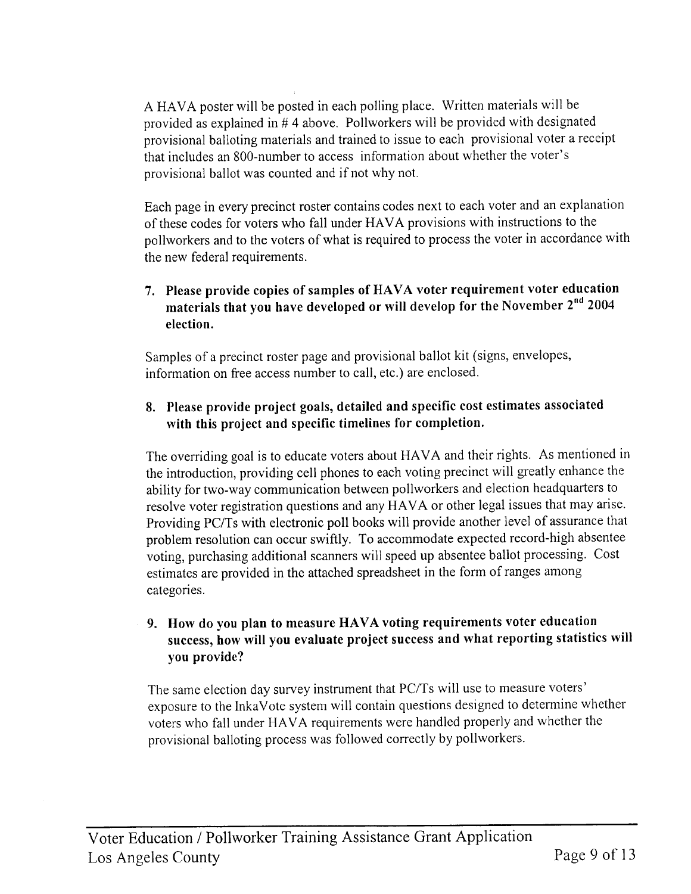A HAVA poster will be posted in each polling place. Written materials will be provided as explained in #4 above. Pollworkers will be provided with designated provisional balloting materials and trained to issue to each provisional voter a receipt that includes an 800-number to access information about whether the voter's provisional ballot was counted and if not why not.

Each page in every precinct roster contains codes next to each voter and an explanation of these codes for voters who fall under HAVA provisions with instructions to the pollworkers and to the voters of what is required to process the voter in accordance with the new federal requirements.

### 7. Please provide copies of samples of HAVA voter requirement voter education materials that you have developed or will develop for the November 2nd 2004 election.

Samples of a precinct roster page and provisional ballot kit (signs, envelopes, information on free access number to call, etc.) are enclosed.

#### 8. Please provide project goals, detailed and specific cost estimates associated with this project and specific timelines for completion.

The overriding goal is to educate voters about HAVA and their rights. As mentioned in the introduction, providing cell phones to each voting precinct will greatly enhance the ability for two-way communication between pollworkers and election headquarters to resolve voter registration questions and any HAVA or other legal issues that may arise. Providing PC/Ts with electronic poll books will provide another level of assurance that problem resolution can occur swiftly. To accommodate expected record-high absentee voting, purchasing additional scanners will speed up absentee ballot processing. Cost estimates are provided in the attached spreadsheet in the form of ranges among categories.

#### 9. How do you plan to measure HAVA voting requirements voter education success, how will you evaluate project success and what reporting statistics will you provide?

The same election day survey instrument that PC/Ts will use to measure voters' exposure to the InkaVote system will contain questions designed to determine whether voters who fall under HAVA requirements were handled properly and whether the provisional balloting process was followed correctly by pollworkers.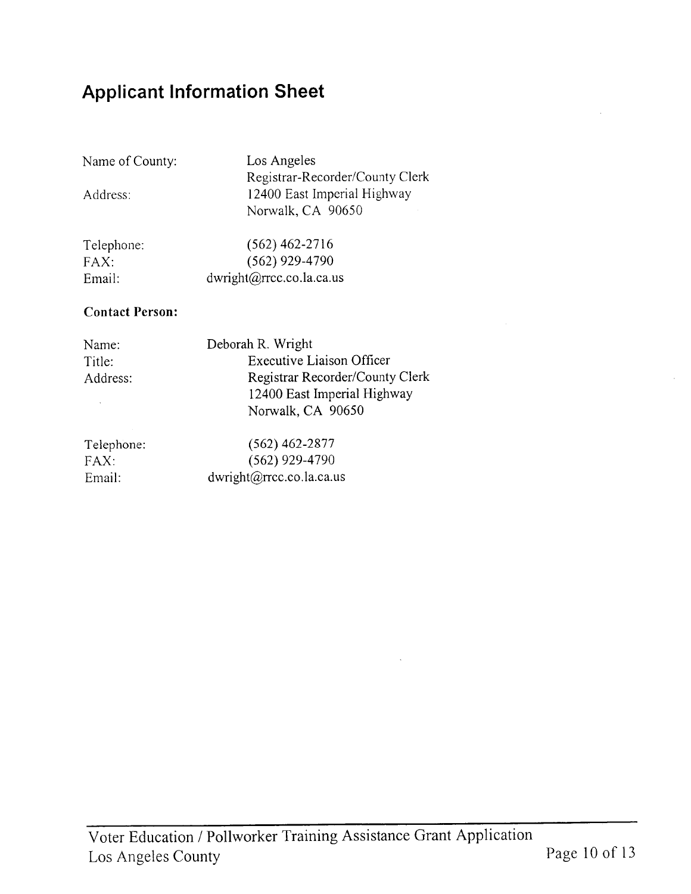# **Applicant Information Sheet**

Name of County:

Address:

Los Angeles Registrar-Recorder/County Clerk 12400 East Imperial Highway Norwalk, CA 90650

| Telephone: | $(562)$ 462-2716                   |
|------------|------------------------------------|
| FAX:       | $(562)$ 929-4790                   |
| Email:     | $dwright(\omega)$ rrcc.co.la.ca.us |

#### **Contact Person:**

| Name:<br>Title:<br>Address: | Deborah R. Wright<br><b>Executive Liaison Officer</b><br>Registrar Recorder/County Clerk<br>12400 East Imperial Highway<br>Norwalk, CA 90650 |
|-----------------------------|----------------------------------------------------------------------------------------------------------------------------------------------|
| Telephone:                  | $(562)$ 462-2877                                                                                                                             |
| FAX:                        | $(562)$ 929-4790                                                                                                                             |
| Email:                      | dwright@rrcc.co.la.ca.us                                                                                                                     |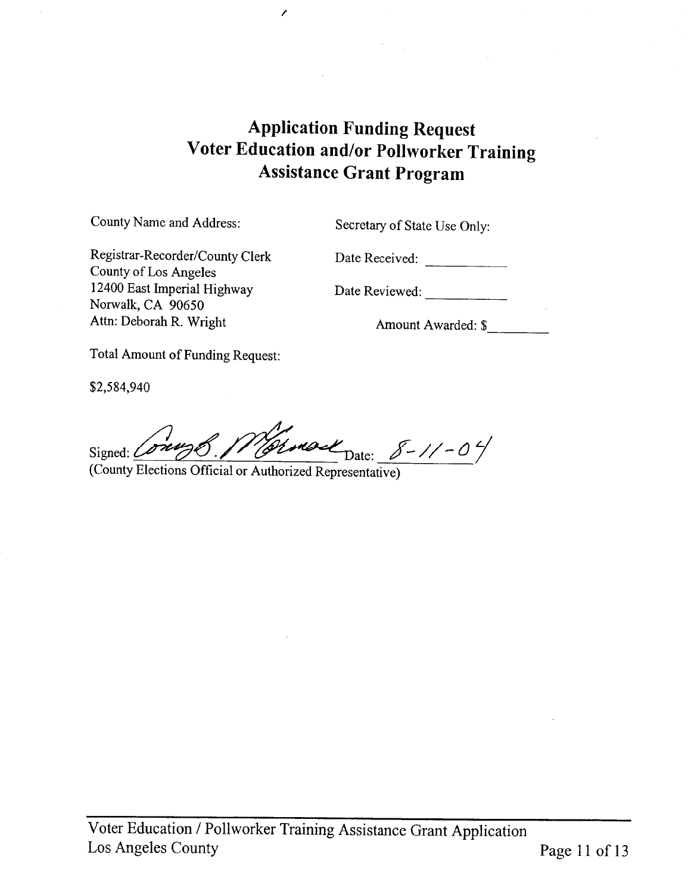## **Application Funding Request** Voter Education and/or Pollworker Training **Assistance Grant Program**

County Name and Address:

Secretary of State Use Only:

Registrar-Recorder/County Clerk County of Los Angeles 12400 East Imperial Highway Norwalk, CA 90650 Attn: Deborah R. Wright

Date Received:

Date Reviewed:

Amount Awarded: \$

Total Amount of Funding Request:

\$2,584,940

Signed: Comme Vermont Date: 8-11-04

t

(County Elections Official or Authorized Representative)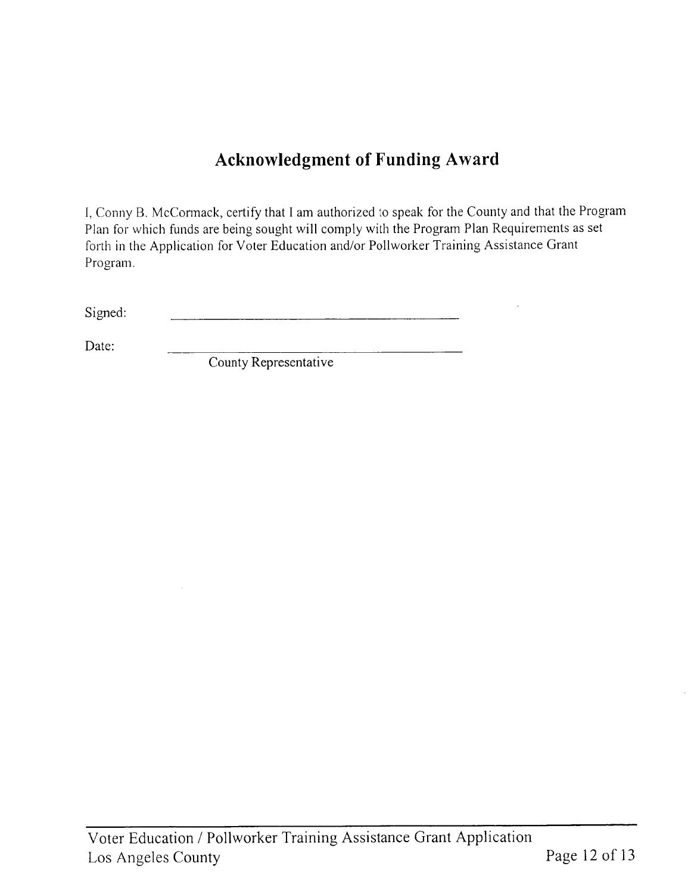## **Acknowledgment of Funding Award**

I, Conny B. McCormack, certify that I am authorized to speak for the County and that the Program Plan for which funds are being sought will comply with the Program Plan Requirements as set forth in the Application for Voter Education and/or Pollworker Training Assistance Grant Program.

Signed: <u> 1980 - Jan Barbara (j. 1980)</u>

Date:

County Representative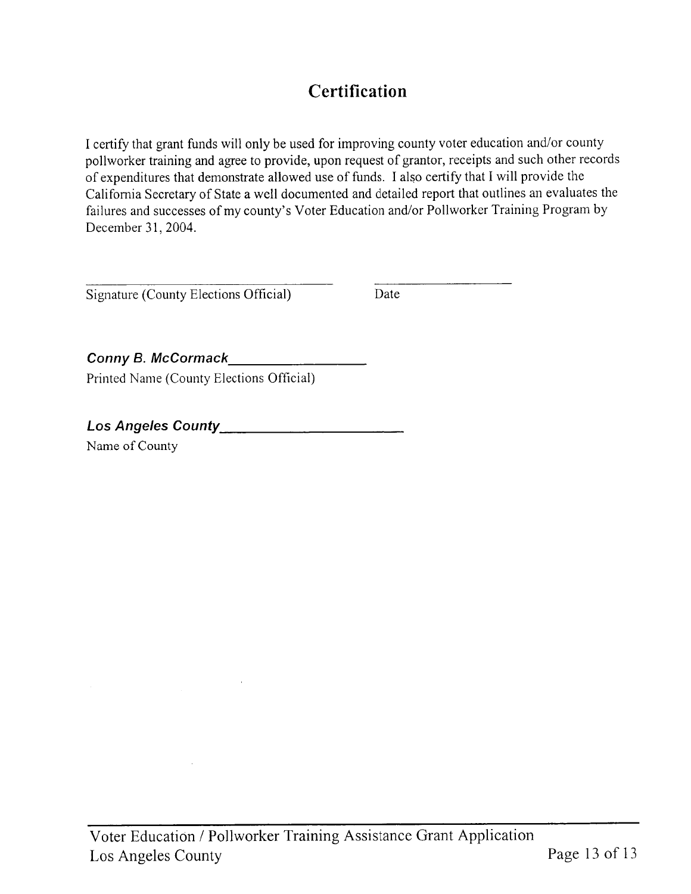# **Certification**

I certify that grant funds will only be used for improving county voter education and/or county pollworker training and agree to provide, upon request of grantor, receipts and such other records of expenditures that demonstrate allowed use of funds. I also certify that I will provide the California Secretary of State a well documented and detailed report that outlines an evaluates the failures and successes of my county's Voter Education and/or Pollworker Training Program by December 31, 2004.

Signature (County Elections Official)

Date

Conny B. McCormack Printed Name (County Elections Official)

Los Angeles County Management County

Name of County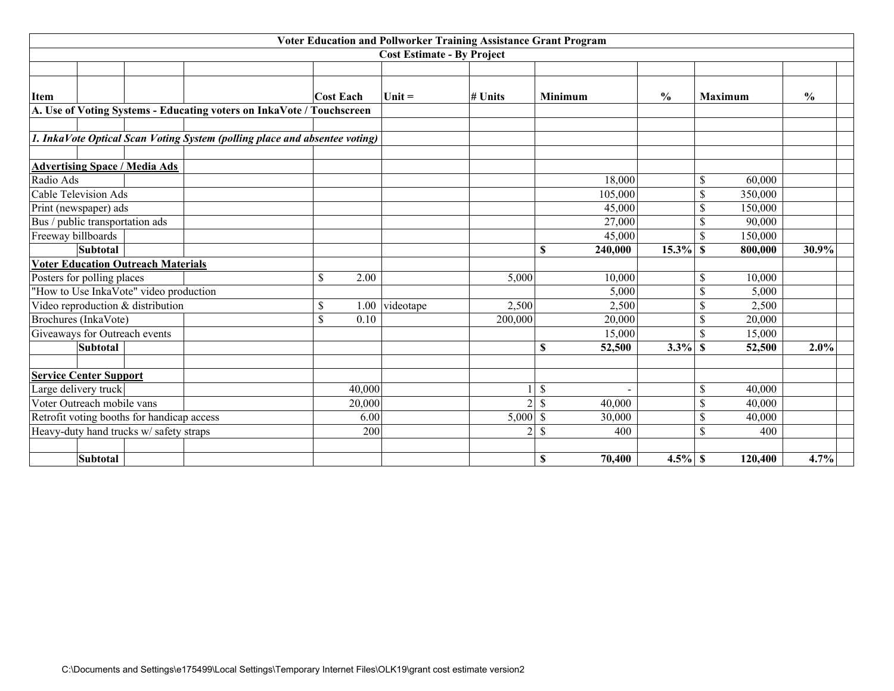|                                            |                                                                            |                  |        | Voter Education and Pollworker Training Assistance Grant Program |                |                         |               |                               |               |
|--------------------------------------------|----------------------------------------------------------------------------|------------------|--------|------------------------------------------------------------------|----------------|-------------------------|---------------|-------------------------------|---------------|
|                                            |                                                                            |                  |        | <b>Cost Estimate - By Project</b>                                |                |                         |               |                               |               |
|                                            |                                                                            |                  |        |                                                                  |                |                         |               |                               |               |
| <b>Item</b>                                |                                                                            | <b>Cost Each</b> |        | $Unit =$                                                         | # Units        | <b>Minimum</b>          | $\frac{0}{0}$ | <b>Maximum</b>                | $\frac{0}{0}$ |
|                                            | A. Use of Voting Systems - Educating voters on InkaVote / Touchscreen      |                  |        |                                                                  |                |                         |               |                               |               |
|                                            |                                                                            |                  |        |                                                                  |                |                         |               |                               |               |
|                                            | 1. InkaVote Optical Scan Voting System (polling place and absentee voting) |                  |        |                                                                  |                |                         |               |                               |               |
|                                            |                                                                            |                  |        |                                                                  |                |                         |               |                               |               |
| <b>Advertising Space / Media Ads</b>       |                                                                            |                  |        |                                                                  |                |                         |               |                               |               |
| Radio Ads                                  |                                                                            |                  |        |                                                                  |                | 18,000                  |               | \$<br>60,000                  |               |
| <b>Cable Television Ads</b>                |                                                                            |                  |        |                                                                  |                | 105,000                 |               | \$<br>350,000                 |               |
| Print (newspaper) ads                      |                                                                            |                  |        |                                                                  |                | 45,000                  |               | \$<br>150,000                 |               |
| Bus / public transportation ads            |                                                                            |                  |        |                                                                  |                | 27,000                  |               | S<br>90,000                   |               |
| Freeway billboards                         |                                                                            |                  |        |                                                                  |                | 45,000                  |               | \$<br>150,000                 |               |
| Subtotal                                   |                                                                            |                  |        |                                                                  |                | \$<br>240,000           | 15.3%         | $\mathbf{\hat{s}}$<br>800,000 | 30.9%         |
| <b>Voter Education Outreach Materials</b>  |                                                                            |                  |        |                                                                  |                |                         |               |                               |               |
| Posters for polling places                 |                                                                            | \$               | 2.00   |                                                                  | 5,000          | 10,000                  |               | $\mathbb{S}$<br>10,000        |               |
| "How to Use InkaVote" video production     |                                                                            |                  |        |                                                                  |                | 5,000                   |               | S<br>5,000                    |               |
| Video reproduction & distribution          |                                                                            | \$               | 1.00   | videotape                                                        | 2,500          | 2,500                   |               | \$<br>2,500                   |               |
| Brochures (InkaVote)                       |                                                                            | \$               | 0.10   |                                                                  | 200,000        | 20,000                  |               | \$<br>20,000                  |               |
| Giveaways for Outreach events              |                                                                            |                  |        |                                                                  |                | 15,000                  |               | \$<br>15,000                  |               |
| <b>Subtotal</b>                            |                                                                            |                  |        |                                                                  |                | \$<br>52,500            | 3.3%          | $\mathbf{s}$<br>52,500        | 2.0%          |
| <b>Service Center Support</b>              |                                                                            |                  |        |                                                                  |                |                         |               |                               |               |
| Large delivery truck                       |                                                                            |                  | 40,000 |                                                                  |                | \$                      |               | \$<br>40,000                  |               |
| Voter Outreach mobile vans                 |                                                                            |                  | 20,000 |                                                                  | $\overline{2}$ | \$<br>40,000            |               | \$<br>40,000                  |               |
| Retrofit voting booths for handicap access |                                                                            |                  | 6.00   |                                                                  | 5,000          | <sup>\$</sup><br>30,000 |               | S<br>40,000                   |               |
| Heavy-duty hand trucks w/ safety straps    |                                                                            |                  | 200    |                                                                  | $\overline{2}$ | \$<br>400               |               | S<br>400                      |               |
|                                            |                                                                            |                  |        |                                                                  |                |                         |               |                               |               |
| Subtotal                                   |                                                                            |                  |        |                                                                  |                | \$<br>70,400            | $4.5\%$ \$    | 120,400                       | 4.7%          |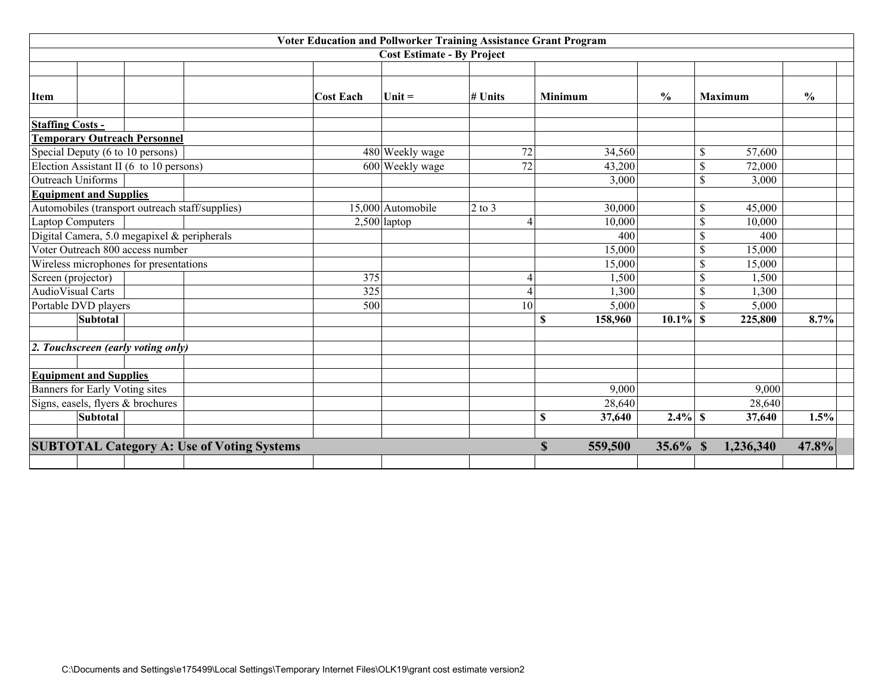| Voter Education and Pollworker Training Assistance Grant Program |                  |                                   |            |                        |               |                         |               |  |  |  |
|------------------------------------------------------------------|------------------|-----------------------------------|------------|------------------------|---------------|-------------------------|---------------|--|--|--|
|                                                                  |                  | <b>Cost Estimate - By Project</b> |            |                        |               |                         |               |  |  |  |
|                                                                  |                  |                                   |            |                        |               |                         |               |  |  |  |
| <b>Item</b>                                                      | <b>Cost Each</b> | $Unit =$                          | # Units    | <b>Minimum</b>         | $\frac{0}{0}$ | <b>Maximum</b>          | $\frac{0}{0}$ |  |  |  |
| <b>Staffing Costs -</b>                                          |                  |                                   |            |                        |               |                         |               |  |  |  |
| <b>Temporary Outreach Personnel</b>                              |                  |                                   |            |                        |               |                         |               |  |  |  |
| Special Deputy (6 to 10 persons)                                 |                  | 480 Weekly wage                   | 72         | 34,560                 |               | \$<br>57,600            |               |  |  |  |
| Election Assistant II (6 to 10 persons)                          |                  | 600 Weekly wage                   | 72         | 43,200                 |               | \$<br>72,000            |               |  |  |  |
| Outreach Uniforms                                                |                  |                                   |            | 3,000                  |               | \$<br>3,000             |               |  |  |  |
| <b>Equipment and Supplies</b>                                    |                  |                                   |            |                        |               |                         |               |  |  |  |
| Automobiles (transport outreach staff/supplies)                  |                  | 15,000 Automobile                 | $2$ to $3$ | 30,000                 |               | 45,000<br>\$            |               |  |  |  |
| <b>Laptop Computers</b>                                          |                  | $2,500$  laptop                   |            | 10,000                 |               | \$<br>10,000            |               |  |  |  |
| Digital Camera, 5.0 megapixel & peripherals                      |                  |                                   |            | 400                    |               | \$<br>400               |               |  |  |  |
| Voter Outreach 800 access number                                 |                  |                                   |            | 15,000                 |               | S<br>15,000             |               |  |  |  |
| Wireless microphones for presentations                           |                  |                                   |            | 15,000                 |               | \$<br>15,000            |               |  |  |  |
| Screen (projector)                                               |                  | 375                               |            | 1,500                  |               | \$<br>1,500             |               |  |  |  |
| AudioVisual Carts                                                |                  | 325                               |            | 1,300                  |               | 1,300<br>\$             |               |  |  |  |
| Portable DVD players                                             |                  | 500                               | 10         | 5,000                  |               | \$<br>5,000             |               |  |  |  |
| <b>Subtotal</b>                                                  |                  |                                   |            | \$<br>158,960          | $10.1\%$      | $\mathbf{s}$<br>225,800 | 8.7%          |  |  |  |
| 2. Touchscreen (early voting only)                               |                  |                                   |            |                        |               |                         |               |  |  |  |
|                                                                  |                  |                                   |            |                        |               |                         |               |  |  |  |
| <b>Equipment and Supplies</b>                                    |                  |                                   |            | 9,000                  |               | 9,000                   |               |  |  |  |
| Banners for Early Voting sites                                   |                  |                                   |            |                        |               |                         |               |  |  |  |
| Signs, easels, flyers & brochures<br><b>Subtotal</b>             |                  |                                   |            | 28,640<br>\$<br>37,640 | $2.4\%$ \$    | 28,640<br>37,640        | 1.5%          |  |  |  |
|                                                                  |                  |                                   |            |                        |               |                         |               |  |  |  |
| <b>SUBTOTAL Category A: Use of Voting Systems</b>                |                  |                                   |            | $\mathbf S$<br>559,500 | 35.6% \$      | 1,236,340               | 47.8%         |  |  |  |
|                                                                  |                  |                                   |            |                        |               |                         |               |  |  |  |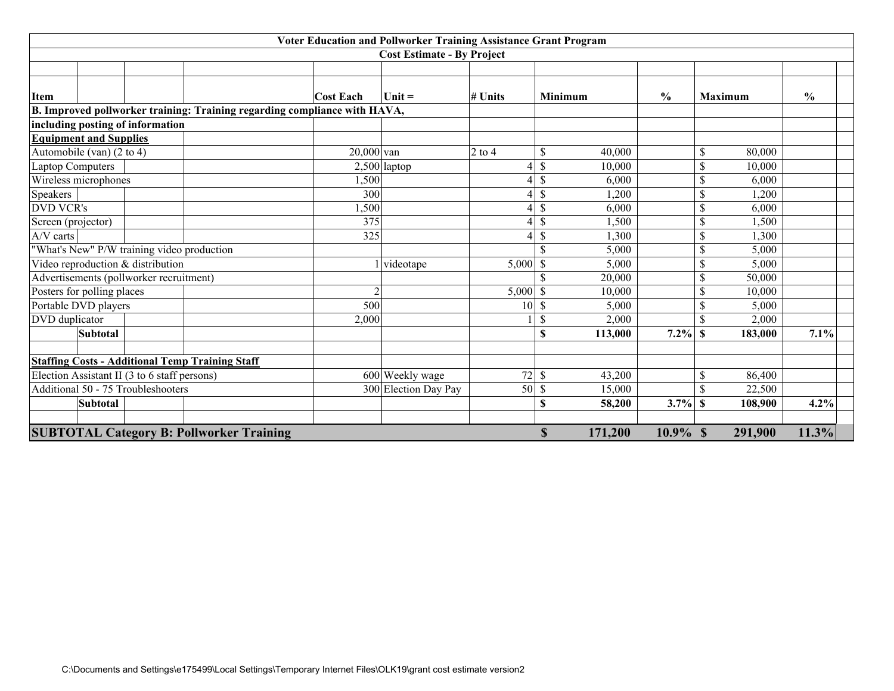|                    | Voter Education and Pollworker Training Assistance Grant Program |                                              |                                                                           |                  |                                   |            |               |                |               |                         |               |  |
|--------------------|------------------------------------------------------------------|----------------------------------------------|---------------------------------------------------------------------------|------------------|-----------------------------------|------------|---------------|----------------|---------------|-------------------------|---------------|--|
|                    |                                                                  |                                              |                                                                           |                  | <b>Cost Estimate - By Project</b> |            |               |                |               |                         |               |  |
|                    |                                                                  |                                              |                                                                           |                  |                                   |            |               |                |               |                         |               |  |
| <b>Item</b>        |                                                                  |                                              |                                                                           | <b>Cost Each</b> | $Unit =$                          | # Units    |               | <b>Minimum</b> | $\frac{0}{0}$ | <b>Maximum</b>          | $\frac{0}{0}$ |  |
|                    |                                                                  |                                              | B. Improved pollworker training: Training regarding compliance with HAVA, |                  |                                   |            |               |                |               |                         |               |  |
|                    |                                                                  | including posting of information             |                                                                           |                  |                                   |            |               |                |               |                         |               |  |
|                    | <b>Equipment and Supplies</b>                                    |                                              |                                                                           |                  |                                   |            |               |                |               |                         |               |  |
|                    | Automobile (van) (2 to 4)                                        |                                              |                                                                           | $20,000$ van     |                                   | $2$ to $4$ | \$            | 40,000         |               | 80,000<br>\$            |               |  |
|                    | <b>Laptop Computers</b>                                          |                                              |                                                                           |                  | $2,500$ laptop                    |            | \$            | 10,000         |               | 10,000<br>\$.           |               |  |
|                    | Wireless microphones                                             |                                              |                                                                           | 1,500            |                                   |            | \$            | 6,000          |               | 6,000                   |               |  |
| Speakers           |                                                                  |                                              |                                                                           | 300              |                                   |            | \$            | 1,200          |               | 1,200                   |               |  |
| <b>DVD VCR's</b>   |                                                                  |                                              |                                                                           | 1,500            |                                   |            | \$            | 6,000          |               | S<br>6,000              |               |  |
| Screen (projector) |                                                                  |                                              |                                                                           | 375              |                                   |            | \$            | 1,500          |               | \$<br>1,500             |               |  |
| A/V carts          |                                                                  |                                              |                                                                           | 325              |                                   |            | \$            | 1,300          |               | 1,300                   |               |  |
|                    |                                                                  | "What's New" P/W training video production   |                                                                           |                  |                                   |            | $\mathbf S$   | 5,000          |               | 5,000                   |               |  |
|                    |                                                                  | Video reproduction & distribution            |                                                                           |                  | videotape                         | 5,000      | \$            | 5,000          |               | 5,000                   |               |  |
|                    |                                                                  | Advertisements (pollworker recruitment)      |                                                                           |                  |                                   |            |               | 20,000         |               | 50,000<br>S             |               |  |
|                    | Posters for polling places                                       |                                              |                                                                           | 2                |                                   | 5,000      | \$            | 10,000         |               | 10,000                  |               |  |
|                    | Portable DVD players                                             |                                              |                                                                           | 500              |                                   | 10         | S             | 5,000          |               | 5,000                   |               |  |
| DVD duplicator     |                                                                  |                                              |                                                                           | 2,000            |                                   |            | \$            | 2,000          |               | \$<br>2,000             |               |  |
|                    | <b>Subtotal</b>                                                  |                                              |                                                                           |                  |                                   |            | \$            | 113,000        | $7.2\%$       | $\mathbf{s}$<br>183,000 | 7.1%          |  |
|                    |                                                                  |                                              |                                                                           |                  |                                   |            |               |                |               |                         |               |  |
|                    |                                                                  |                                              | <b>Staffing Costs - Additional Temp Training Staff</b>                    |                  |                                   |            |               |                |               |                         |               |  |
|                    |                                                                  | Election Assistant II (3 to 6 staff persons) |                                                                           |                  | 600 Weekly wage                   | 72         | $\mathcal{S}$ | 43,200         |               | 86,400<br>\$            |               |  |
|                    |                                                                  | Additional 50 - 75 Troubleshooters           |                                                                           |                  | 300 Election Day Pay              | 50         | \$            | 15,000         |               | 22,500                  |               |  |
|                    | <b>Subtotal</b>                                                  |                                              |                                                                           |                  |                                   |            | S             | 58,200         | 3.7%          | <b>S</b><br>108,900     | 4.2%          |  |
|                    |                                                                  |                                              |                                                                           |                  |                                   |            |               |                |               |                         |               |  |
|                    |                                                                  |                                              | <b>SUBTOTAL Category B: Pollworker Training</b>                           |                  |                                   |            | $\mathbf S$   | 171,200        | $10.9\%$ \$   | 291,900                 | 11.3%         |  |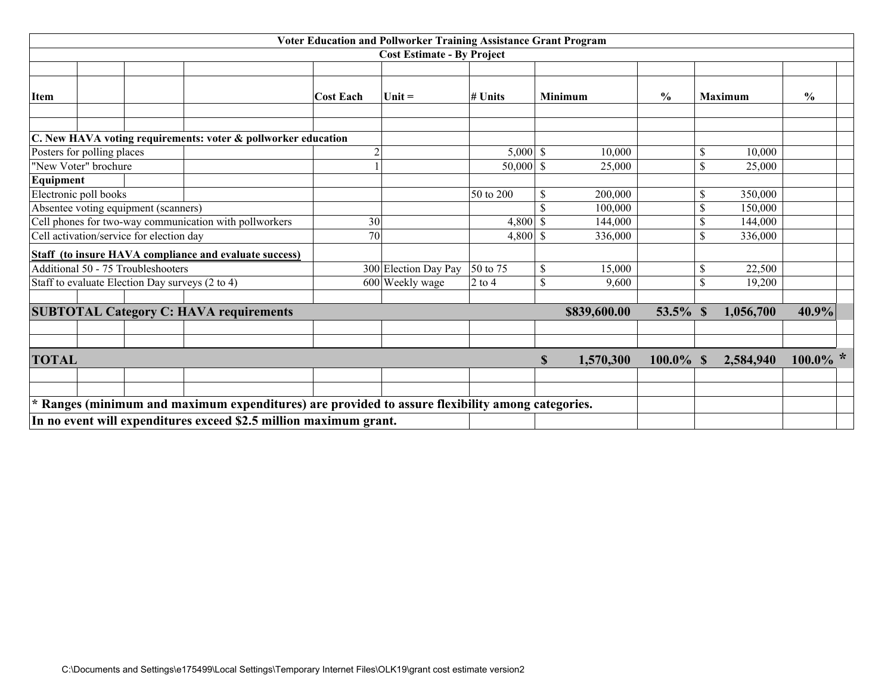|                            | Voter Education and Pollworker Training Assistance Grant Program |  |                                                 |                                                                                                  |                  |                                   |             |    |                |               |               |                |               |  |
|----------------------------|------------------------------------------------------------------|--|-------------------------------------------------|--------------------------------------------------------------------------------------------------|------------------|-----------------------------------|-------------|----|----------------|---------------|---------------|----------------|---------------|--|
|                            |                                                                  |  |                                                 |                                                                                                  |                  | <b>Cost Estimate - By Project</b> |             |    |                |               |               |                |               |  |
|                            |                                                                  |  |                                                 |                                                                                                  |                  |                                   |             |    |                |               |               |                |               |  |
| <b>Item</b>                |                                                                  |  |                                                 |                                                                                                  | <b>Cost Each</b> | $Unit =$                          | $#$ Units   |    | <b>Minimum</b> | $\frac{0}{0}$ |               | <b>Maximum</b> | $\frac{6}{6}$ |  |
|                            |                                                                  |  |                                                 |                                                                                                  |                  |                                   |             |    |                |               |               |                |               |  |
|                            |                                                                  |  |                                                 | C. New HAVA voting requirements: voter & pollworker education                                    |                  |                                   |             |    |                |               |               |                |               |  |
| Posters for polling places |                                                                  |  |                                                 |                                                                                                  |                  |                                   | $5,000$ \$  |    | 10,000         |               | \$            | 10,000         |               |  |
| "New Voter" brochure       |                                                                  |  |                                                 |                                                                                                  |                  |                                   | $50,000$ \$ |    | 25,000         |               | S             | 25,000         |               |  |
| Equipment                  |                                                                  |  |                                                 |                                                                                                  |                  |                                   |             |    |                |               |               |                |               |  |
| Electronic poll books      |                                                                  |  |                                                 |                                                                                                  |                  |                                   | 50 to 200   | S  | 200,000        |               | S             | 350,000        |               |  |
|                            |                                                                  |  | Absentee voting equipment (scanners)            |                                                                                                  |                  |                                   |             |    | 100,000        |               | \$            | 150,000        |               |  |
|                            |                                                                  |  |                                                 | Cell phones for two-way communication with pollworkers                                           | 30               |                                   | $4,800$ \$  |    | 144,000        |               |               | 144,000        |               |  |
|                            |                                                                  |  | Cell activation/service for election day        |                                                                                                  | 70               |                                   | $4,800$ \$  |    | 336,000        |               | \$            | 336,000        |               |  |
|                            |                                                                  |  |                                                 | Staff (to insure HAVA compliance and evaluate success)                                           |                  |                                   |             |    |                |               |               |                |               |  |
|                            |                                                                  |  | Additional 50 - 75 Troubleshooters              |                                                                                                  |                  | 300 Election Day Pay              | 50 to 75    | S  | 15,000         |               | \$            | 22,500         |               |  |
|                            |                                                                  |  | Staff to evaluate Election Day surveys (2 to 4) |                                                                                                  |                  | 600 Weekly wage                   | $2$ to 4    | \$ | 9,600          |               | $\mathcal{S}$ | 19,200         |               |  |
|                            |                                                                  |  |                                                 |                                                                                                  |                  |                                   |             |    |                |               |               |                |               |  |
|                            |                                                                  |  |                                                 | <b>SUBTOTAL Category C: HAVA requirements</b>                                                    |                  |                                   |             |    | \$839,600.00   | 53.5%         | $\mathbf S$   | 1,056,700      | 40.9%         |  |
|                            |                                                                  |  |                                                 |                                                                                                  |                  |                                   |             |    |                |               |               |                |               |  |
|                            |                                                                  |  |                                                 |                                                                                                  |                  |                                   |             |    |                |               |               |                |               |  |
| <b>TOTAL</b>               |                                                                  |  |                                                 |                                                                                                  |                  |                                   |             | S  | 1,570,300      | $100.0\%$ \$  |               | 2,584,940      | $100.0\%$ *   |  |
|                            |                                                                  |  |                                                 |                                                                                                  |                  |                                   |             |    |                |               |               |                |               |  |
|                            |                                                                  |  |                                                 |                                                                                                  |                  |                                   |             |    |                |               |               |                |               |  |
|                            |                                                                  |  |                                                 | * Ranges (minimum and maximum expenditures) are provided to assure flexibility among categories. |                  |                                   |             |    |                |               |               |                |               |  |
|                            |                                                                  |  |                                                 | In no event will expenditures exceed \$2.5 million maximum grant.                                |                  |                                   |             |    |                |               |               |                |               |  |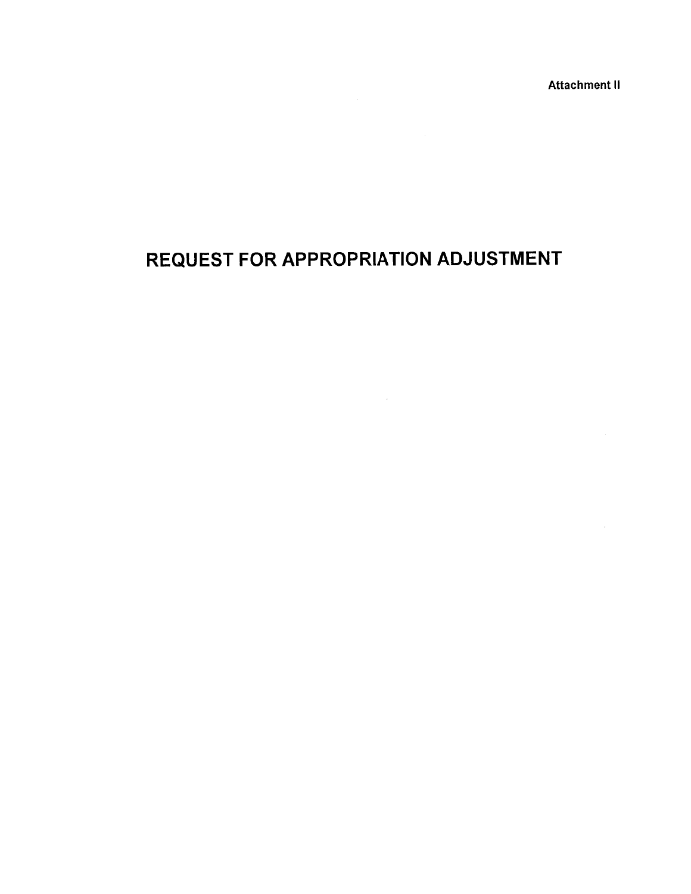**Attachment II** 

# REQUEST FOR APPROPRIATION ADJUSTMENT

 $\label{eq:2.1} \mathcal{L}_{\mathcal{A}}(\mathcal{A}) = \mathcal{L}_{\mathcal{A}}(\mathcal{A}) = \mathcal{L}_{\mathcal{A}}(\mathcal{A}) = \mathcal{L}_{\mathcal{A}}(\mathcal{A})$ 

 $\mathcal{L}(\mathcal{A})$  and  $\mathcal{L}(\mathcal{A})$  .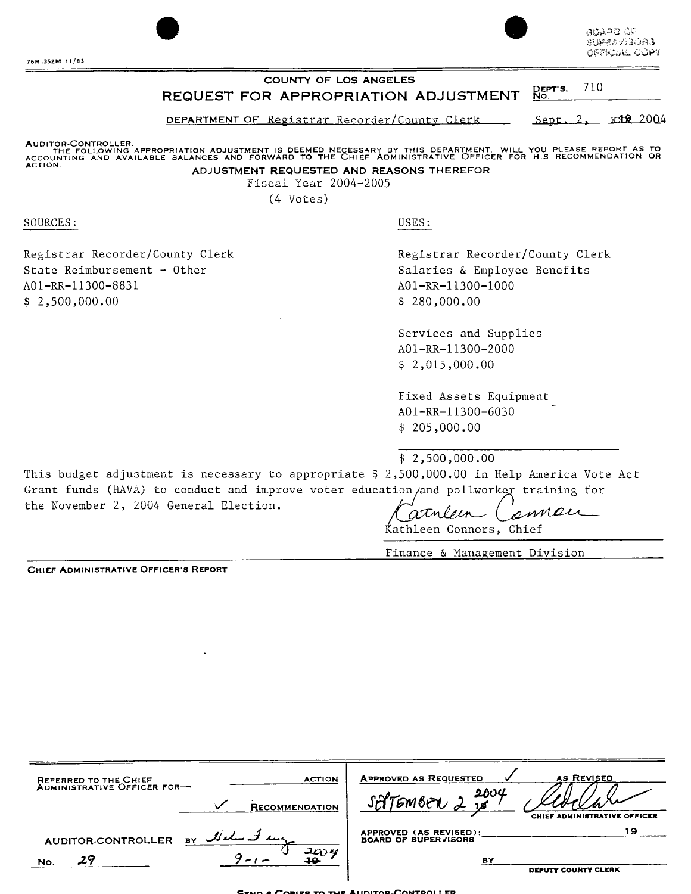Board of **SUPERVISORS** OFFICIAL COPY

#### COUNTY OF LOS ANGELES 710 DEPT'S.<br>No. REQUEST FOR APPROPRIATION ADJUSTMENT

DEPARTMENT OF Registrar Recorder/County Clerk Sept. 2, xxx 2004

AUDITOR-CONTROLLER.<br>THE FOLLOWING APPROPRIATION ADJUSTMENT IS DEEMED NECESSARY BY THIS DEPARTMENT. WILL YOU PLEASE REPORT AS TO<br>ACCOUNTING AND AVAILABLE BALANCES AND FORWARD TO THE CHIEF ADMINISTRATIVE OFFICER FOR HIS RECO ACTION. ADJUSTMENT REQUESTED AND REASONS THEREFOR

Fiscal Year 2004-2005

 $(4 \text{ Votes})$ 

SOURCES:

Registrar Recorder/County Clerk State Reimbursement - Other A01-RR-11300-8831  $$2,500,000.00$ 

USES:

Registrar Recorder/County Clerk Salaries & Employee Benefits A01-RR-11300-1000  $$280,000.00$ 

Services and Supplies A01-RR-11300-2000  $$2,015,000.00$ 

Fixed Assets Equipment A01-RR-11300-6030  $$205,000.00$ 

 $$2,500,000.00$ 

This budget adjustment is necessary to appropriate \$ 2,500,000.00 in Help America Vote Act Grant funds (HAVA) to conduct and improve voter education/and pollworker training for the November 2, 2004 General Election.

emen atulein Kathleen Connors, Chief

Finance & Management Division

**CHIEF ADMINISTRATIVE OFFICER'S REPORT** 

| <b>ACTION</b><br>REFERRED TO THE CHIEF<br>ADMINISTRATIVE OFFICER FOR-<br><b>RECOMMENDATION</b> | <b>APPROVED AS REQUESTED</b><br><b>AS REVISED</b><br>2004<br><i><b>SATEMBER</b></i><br>CHIEF ADMINISTRATIVE OFFICER |
|------------------------------------------------------------------------------------------------|---------------------------------------------------------------------------------------------------------------------|
| <b>AUDITOR-CONTROLLER</b>                                                                      | 19                                                                                                                  |
| BY                                                                                             | APPROVED (AS REVISED):                                                                                              |
| 200 Y                                                                                          | <b>BOARD OF SUPERVISORS</b>                                                                                         |
| 29                                                                                             | BY                                                                                                                  |
| No.                                                                                            | DEPUTY COUNTY CLERK                                                                                                 |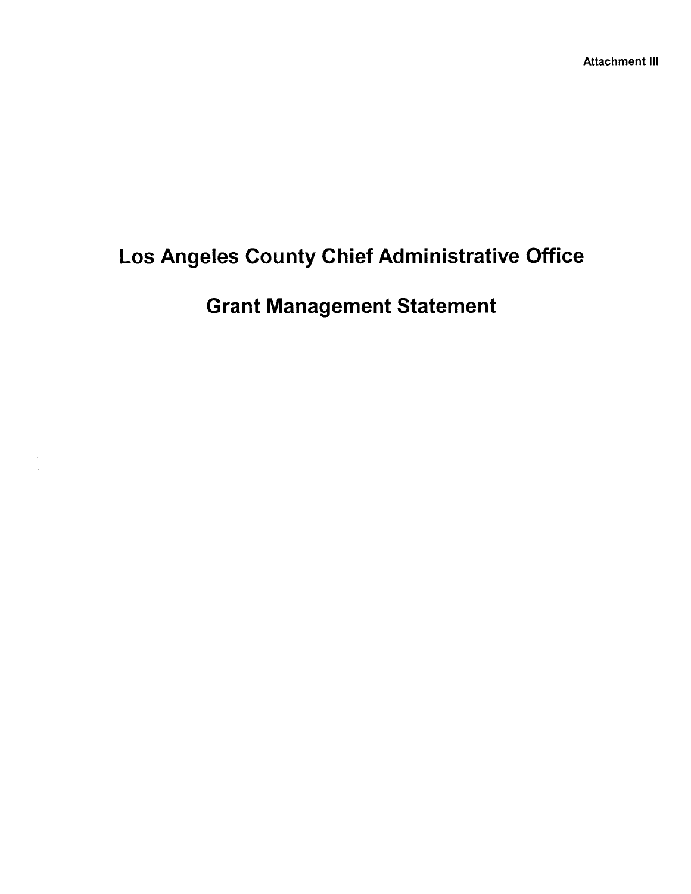# Los Angeles County Chief Administrative Office

# **Grant Management Statement**